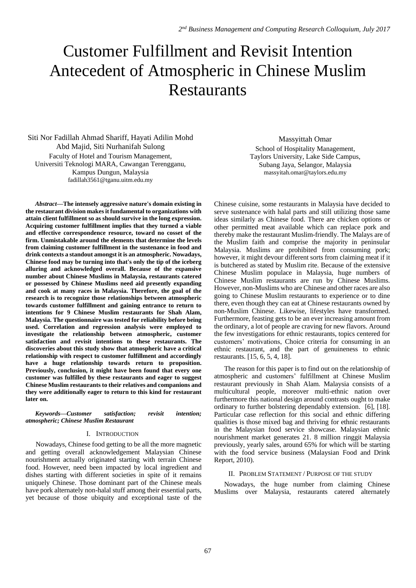# Customer Fulfillment and Revisit Intention Antecedent of Atmospheric in Chinese Muslim Restaurants

Siti Nor Fadillah Ahmad Shariff, Hayati Adilin Mohd Abd Majid, Siti Nurhanifah Sulong Faculty of Hotel and Tourism Management, Universiti Teknologi MARA, Cawangan Terengganu, Kampus Dungun, Malaysia fadillah3561@tganu.uitm.edu.my

*Abstract***—The intensely aggressive nature's domain existing in the restaurant division makes it fundamental to organizations with attain client fulfillment so as should survive in the long expression. Acquiring customer fulfillment implies that they turned a viable and effective correspondence resource, toward no cosset of the firm. Unmistakable around the elements that determine the levels from claiming customer fulfillment in the sustenance in food and drink contexts a standout amongst it is an atmospheric. Nowadays, Chinese food may be turning into that's only the tip of the iceberg alluring and acknowledged overall. Because of the expansive number about Chinese Muslims in Malaysia, restaurants catered or possessed by Chinese Muslims need aid presently expanding and cook at many races in Malaysia. Therefore, the goal of the research is to recognize those relationships between atmospheric towards customer fulfillment and gaining entrance to return to intentions for 9 Chinese Muslim restaurants for Shah Alam, Malaysia. The questionnaire was tested for reliability before being used. Correlation and regression analysis were employed to investigate the relationship between atmospheric, customer satisfaction and revisit intentions to these restaurants. The discoveries about this study show that atmospheric have a critical relationship with respect to customer fulfillment and accordingly have a huge relationship towards return to proposition. Previously, conclusion, it might have been found that every one customer was fulfilled by these restaurants and eager to suggest Chinese Muslim restaurants to their relatives and companions and they were additionally eager to return to this kind for restaurant later on.**

*Keywords—Customer satisfaction; revisit intention; atmospheric; Chinese Muslim Restaurant*

## I. INTRODUCTION

Nowadays, Chinese food getting to be all the more magnetic and getting overall acknowledgement Malaysian Chinese nourishment actually originated starting with terrain Chinese food. However, need been impacted by local ingredient and dishes starting with different societies in spite of it remains uniquely Chinese. Those dominant part of the Chinese meals have pork alternately non-halal stuff among their essential parts, yet because of those ubiquity and exceptional taste of the

Massyittah Omar School of Hospitality Management, Taylors University, Lake Side Campus, Subang Jaya, Selangor, Malaysia massyitah.omar@taylors.edu.my

Chinese cuisine, some restaurants in Malaysia have decided to serve sustenance with halal parts and still utilizing those same ideas similarly as Chinese food. There are chicken options or other permitted meat available which can replace pork and thereby make the restaurant Muslim-friendly. The Malays are of the Muslim faith and comprise the majority in peninsular Malaysia. Muslims are prohibited from consuming pork; however, it might devour different sorts from claiming meat if it is butchered as stated by Muslim rite. Because of the extensive Chinese Muslim populace in Malaysia, huge numbers of Chinese Muslim restaurants are run by Chinese Muslims. However, non-Muslims who are Chinese and other races are also going to Chinese Muslim restaurants to experience or to dine there, even though they can eat at Chinese restaurants owned by non-Muslim Chinese. Likewise, lifestyles have transformed. Furthermore, feasting gets to be an ever increasing amount from the ordinary, a lot of people are craving for new flavors. Around the few investigations for ethnic restaurants, topics centered for customers' motivations, Choice criteria for consuming in an ethnic restaurant, and the part of genuineness to ethnic restaurants. [15, 6, 5, 4, 18].

The reason for this paper is to find out on the relationship of atmospheric and customers' fulfillment at Chinese Muslim restaurant previously in Shah Alam. Malaysia consists of a multicultural people, moreover multi-ethnic nation over furthermore this national design around contrasts ought to make ordinary to further bolstering dependably extension. [6], [18]. Particular case reflection for this social and ethnic differing qualities is those mixed bag and thriving for ethnic restaurants in the Malaysian food service showcase. Malaysian ethnic nourishment market generates 21. 8 million ringgit Malaysia previously, yearly sales, around 65% for which will be starting with the food service business (Malaysian Food and Drink Report, 2010).

## II. PROBLEM STATEMENT / PURPOSE OF THE STUDY

Nowadays, the huge number from claiming Chinese Muslims over Malaysia, restaurants catered alternately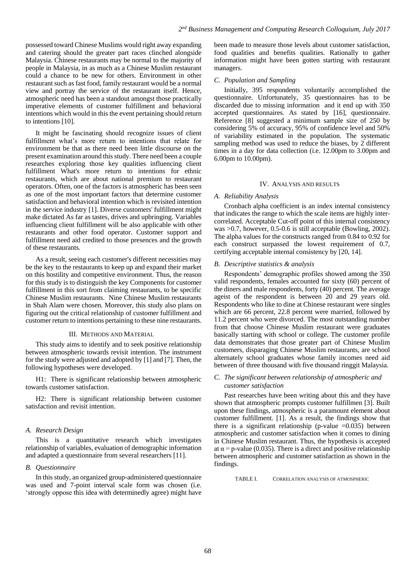possessed toward Chinese Muslims would right away expanding and catering should the greater part races clinched alongside Malaysia. Chinese restaurants may be normal to the majority of people in Malaysia, in as much as a Chinese Muslim restaurant could a chance to be new for others. Environment in other restaurant such as fast food, family restaurant would be a normal view and portray the service of the restaurant itself. Hence, atmospheric need has been a standout amongst those practically imperative elements of customer fulfillment and behavioral intentions which would in this the event pertaining should return to intentions [10].

It might be fascinating should recognize issues of client fulfillment what's more return to intentions that relate for environment be that as there need been little discourse on the present examination around this study. There need been a couple researches exploring those key qualities influencing client fulfillment What's more return to intentions for ethnic restaurants, which are about national premium to restaurant operators. Often, one of the factors is atmospheric has been seen as one of the most important factors that determine customer satisfaction and behavioral intention which is revisited intention in the service industry [1]. Diverse customers' fulfillment might make dictated As far as tastes, drives and upbringing. Variables influencing client fulfillment will be also applicable with other restaurants and other food operator. Customer support and fulfillment need aid credited to those presences and the growth of these restaurants.

As a result, seeing each customer's different necessities may be the key to the restaurants to keep up and expand their market on this hostility and competitive environment. Thus, the reason for this study is to distinguish the key Components for customer fulfillment in this sort from claiming restaurants, to be specific Chinese Muslim restaurants. Nine Chinese Muslim restaurants in Shah Alam were chosen. Moreover, this study also plans on figuring out the critical relationship of customer fulfillment and customer return to intentions pertaining to these nine restaurants.

#### III. METHODS AND MATERIAL

This study aims to identify and to seek positive relationship between atmospheric towards revisit intention. The instrument for the study were adjusted and adopted by [1] and [7]. Then, the following hypotheses were developed.

H1: There is significant relationship between atmospheric towards customer satisfaction.

H2: There is significant relationship between customer satisfaction and revisit intention.

#### *A. Research Design*

This is a quantitative research which investigates relationship of variables, evaluation of demographic information and adapted a questionnaire from several researchers [11].

## *B. Questionnaire*

In this study, an organized group-administered questionnaire was used and 7-point interval scale form was chosen (i.e. 'strongly oppose this idea with determinedly agree) might have been made to measure those levels about customer satisfaction, food qualities and benefits qualities. Rationally to gather information might have been gotten starting with restaurant managers.

## *C. Population and Sampling*

Initially, 395 respondents voluntarily accomplished the questionnaire. Unfortunately, 35 questionnaires has to be discarded due to missing information and it end up with 350 accepted questionnaires. As stated by [16], questionnaire. Reference [8] suggested a minimum sample size of 250 by considering 5% of accuracy, 95% of confidence level and 50% of variability estimated in the population. The systematic sampling method was used to reduce the biases, by 2 different times in a day for data collection (i.e. 12.00pm to 3.00pm and 6.00pm to 10.00pm).

#### IV. ANALYSIS AND RESULTS

### *A. Reliability Analysis*

Cronbach alpha coefficient is an index internal consistency that indicates the range to which the scale items are highly intercorrelated. Acceptable Cut-off point of this internal consistency was >0.7, however, 0.5-0.6 is still acceptable (Bowling, 2002). The alpha values for the constructs ranged from 0.84 to 0.92 for each construct surpassed the lowest requirement of 0.7, certifying acceptable internal consistency by [20, 14].

#### *B. Descriptive statistics & analysis*

Respondents' demographic profiles showed among the 350 valid respondents, females accounted for sixty (60) percent of the diners and male respondents, forty (40) percent. The average ageist of the respondent is between 20 and 29 years old. Respondents who like to dine at Chinese restaurant were singles which are 66 percent, 22.8 percent were married, followed by 11.2 percent who were divorced. The most outstanding number from that choose Chinese Muslim restaurant were graduates basically starting with school or college. The customer profile data demonstrates that those greater part of Chinese Muslim customers, disparaging Chinese Muslim restaurants, are school alternately school graduates whose family incomes need aid between of three thousand with five thousand ringgit Malaysia.

## *C. The significant between relationship of atmospheric and customer satisfaction*

Past researches have been writing about this and they have shown that atmospheric prompts customer fulfillmen [3]. Built upon these findings, atmospheric is a paramount element about customer fulfillment. [1]. As a result, the findings show that there is a significant relationship (p-value  $=0.035$ ) between atmospheric and customer satisfaction when it comes to dining in Chinese Muslim restaurant. Thus, the hypothesis is accepted at  $\alpha$  = p-value (0.035). There is a direct and positive relationship between atmospheric and customer satisfaction as shown in the findings.

TABLE I. CORRELATION ANALYSIS OF ATMOSPHERIC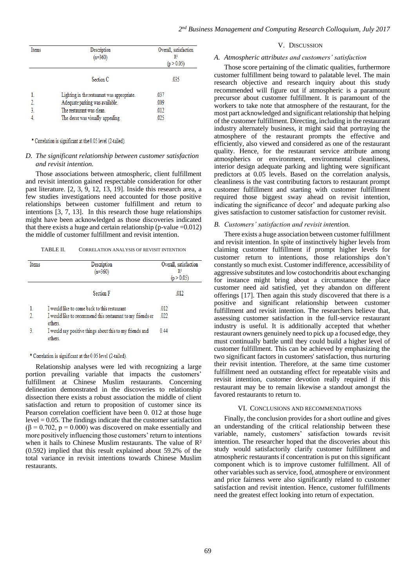| Items | Description<br>$(n=360)$                    | Overall, satisfaction<br>R2<br>(p > 0.05) |
|-------|---------------------------------------------|-------------------------------------------|
|       | Section C                                   | .035                                      |
|       | Lighting in the restaurant was appropriate. | .037                                      |
|       | Adequate parking was available.             | .009                                      |
|       | The restaurant was clean.                   | .012                                      |
|       | The decor was visually appealing.           | .025                                      |

\* Correlation is significant at the 0.05 level (2-tailed).

## *D. The significant relationship between customer satisfaction and revisit intention.*

Those associations between atmospheric, client fulfillment and revisit intention gained respectable consideration for other past literature. [2, 3, 9, 12, 13, 19]. Inside this research area, a few studies investigations need accounted for those positive relationships between customer fulfillment and return to intentions [3, 7, 13]. In this research those huge relationships might have been acknowledged as those discoveries indicated that there exists a huge and certain relationship (p-value  $=0.012$ ) the middle of customer fulfillment and revisit intention.

TABLE II. CORRELATION ANALYSIS OF REVISIT INTENTION

| Items | Description                                                           | Overall, satisfaction |
|-------|-----------------------------------------------------------------------|-----------------------|
|       | $(n=360)$                                                             | $\mathbb{R}^2$        |
|       |                                                                       | (p > 0.05)            |
|       | <b>Section F</b>                                                      | .012                  |
|       | I would like to come back to this restaurant                          | .012                  |
| 2     | I would like to recommend this restaurant to my friends or<br>others. | .022                  |
| 3.    | I would say positive things about this to my friends and<br>others.   | 0.44                  |

## \* Correlation is significant at the 0.05 level (2-tailed).

Relationship analyses were led with recognizing a large portion prevailing variable that impacts the customers' fulfillment at Chinese Muslim restaurants. Concerning delineation demonstrated in the discoveries to relationship dissection there exists a robust association the middle of client satisfaction and return to proposition of customer since its Pearson correlation coefficient have been 0. 012 at those huge level = 0.05. The findings indicate that the customer satisfaction  $(\beta = 0.702, p = 0.000)$  was discovered on make essentially and more positively influencing those customers' return to intentions when it hails to Chinese Muslim restaurants. The value of  $\mathbb{R}^2$ (0.592) implied that this result explained about 59.2% of the total variance in revisit intentions towards Chinese Muslim restaurants.

## V. DISCUSSION

## *A. Atmospheric attributes and customers' satisfaction*

Those score pertaining of the climatic qualities, furthermore customer fulfillment being toward to palatable level. The main research objective and research inquiry about this study recommended will figure out if atmospheric is a paramount precursor about customer fulfillment. It is paramount of the workers to take note that atmosphere of the restaurant, for the most part acknowledged and significant relationship that helping of the customer fulfillment. Directing, including in the restaurant industry alternately business, it might said that portraying the atmosphere of the restaurant prompts the effective and efficiently, also viewed and considered as one of the restaurant quality. Hence, for the restaurant service attribute among atmospherics or environment, environmental cleanliness, interior design adequate parking and lighting were significant predictors at 0.05 levels. Based on the correlation analysis, cleanliness is the vast contributing factors to restaurant prompt customer fulfillment and starting with customer fulfillment required those biggest sway ahead on revisit intention, indicating the significance of decor' and adequate parking also gives satisfaction to customer satisfaction for customer revisit.

#### *B. Customers' satisfaction and revisit intention.*

There exists a huge association between customer fulfillment and revisit intention. In spite of instinctively higher levels from claiming customer fulfillment if prompt higher levels for customer return to intentions, those relationships don't constantly so much exist. Customer indifference, accessibility of aggressive substitutes and low costochondritis about exchanging for instance might bring about a circumstance the place customer need aid satisfied, yet they abandon on different offerings [17]. Then again this study discovered that there is a positive and significant relationship between customer fulfillment and revisit intention. The researchers believe that, assessing customer satisfaction in the full-service restaurant industry is useful. It is additionally accepted that whether restaurant owners genuinely need to pick up a focused edge, they must continually battle until they could build a higher level of customer fulfillment. This can be achieved by emphasizing the two significant factors in customers' satisfaction, thus nurturing their revisit intention. Therefore, at the same time customer fulfillment need an outstanding effect for repeatable visits and revisit intention, customer devotion really required if this restaurant may be to remain likewise a standout amongst the favored restaurants to return to.

#### VI. CONCLUSIONS AND RECOMMENDATIONS

Finally, the conclusion provides for a short outline and gives an understanding of the critical relationship between these variable, namely, customers' satisfaction towards revisit intention. The researcher hoped that the discoveries about this study would satisfactorily clarify customer fulfillment and atmospheric restaurants if concentration is put on this significant component which is to improve customer fulfillment. All of other variables such as service, food, atmosphere or environment and price fairness were also significantly related to customer satisfaction and revisit intention. Hence, customer fulfillments need the greatest effect looking into return of expectation.